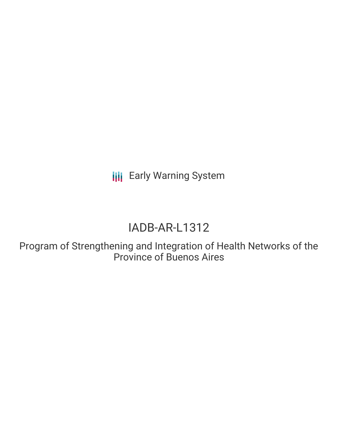**III** Early Warning System

# IADB-AR-L1312

Program of Strengthening and Integration of Health Networks of the Province of Buenos Aires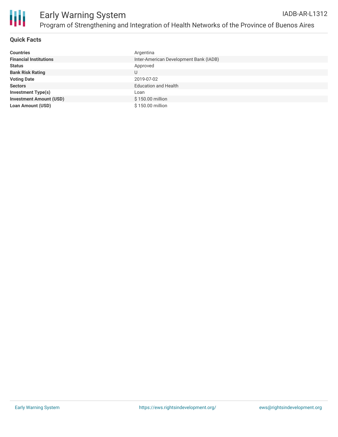

#### **Quick Facts**

| <b>Countries</b>               | Argentina                              |
|--------------------------------|----------------------------------------|
| <b>Financial Institutions</b>  | Inter-American Development Bank (IADB) |
| <b>Status</b>                  | Approved                               |
| <b>Bank Risk Rating</b>        | U                                      |
| <b>Voting Date</b>             | 2019-07-02                             |
| <b>Sectors</b>                 | <b>Education and Health</b>            |
| <b>Investment Type(s)</b>      | Loan                                   |
| <b>Investment Amount (USD)</b> | \$150.00 million                       |
| <b>Loan Amount (USD)</b>       | \$150.00 million                       |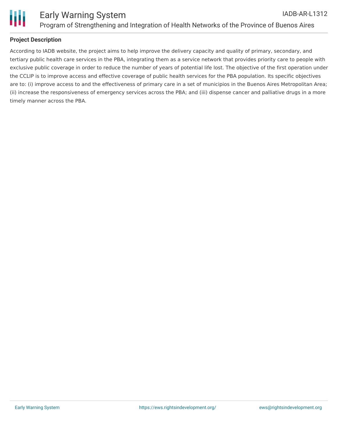

#### **Project Description**

According to IADB website, the project aims to help improve the delivery capacity and quality of primary, secondary, and tertiary public health care services in the PBA, integrating them as a service network that provides priority care to people with exclusive public coverage in order to reduce the number of years of potential life lost. The objective of the first operation under the CCLIP is to improve access and effective coverage of public health services for the PBA population. Its specific objectives are to: (i) improve access to and the effectiveness of primary care in a set of municipios in the Buenos Aires Metropolitan Area; (ii) increase the responsiveness of emergency services across the PBA; and (iii) dispense cancer and palliative drugs in a more timely manner across the PBA.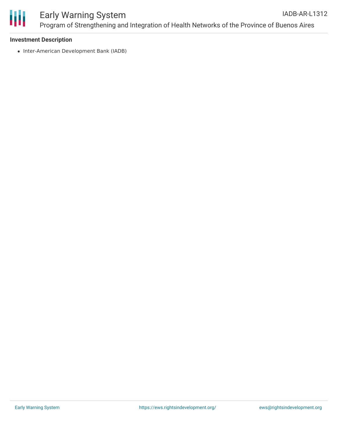

#### Early Warning System Program of Strengthening and Integration of Health Networks of the Province of Buenos Aires IADB-AR-L1312

#### **Investment Description**

• Inter-American Development Bank (IADB)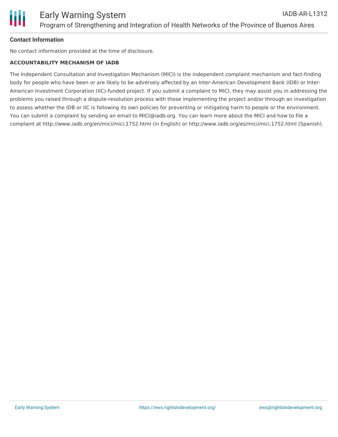### **Contact Information**

No contact information provided at the time of disclosure.

## **ACCOUNTABILITY MECHANISM OF IADB**

The Independent Consultation and Investigation Mechanism (MICI) is the independent complaint mechanism and fact-finding body for people who have been or are likely to be adversely affected by an Inter-American Development Bank (IDB) or Inter-American Investment Corporation (IIC)-funded project. If you submit a complaint to MICI, they may assist you in addressing the problems you raised through a dispute-resolution process with those implementing the project and/or through an investigation to assess whether the IDB or IIC is following its own policies for preventing or mitigating harm to people or the environment. You can submit a complaint by sending an email to MICI@iadb.org. You can learn more about the MICI and how to file a complaint at http://www.iadb.org/en/mici/mici,1752.html (in English) or http://www.iadb.org/es/mici/mici,1752.html (Spanish).